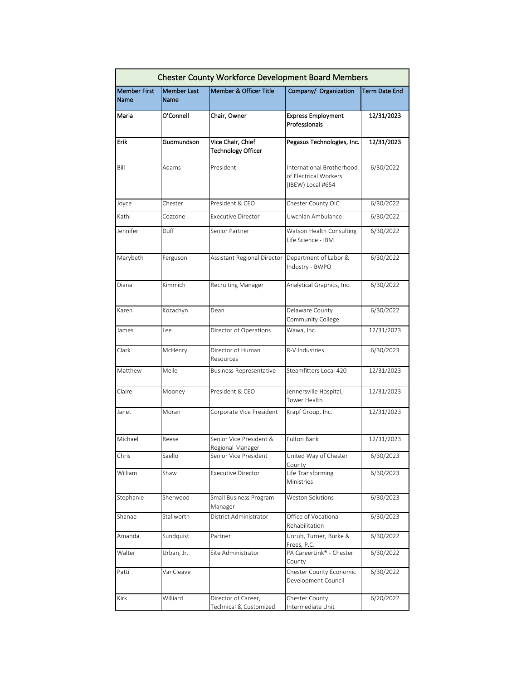| <b>Chester County Workforce Development Board Members</b> |                    |                                                |                                                                         |                      |  |  |
|-----------------------------------------------------------|--------------------|------------------------------------------------|-------------------------------------------------------------------------|----------------------|--|--|
| <b>Member First</b>                                       | <b>Member Last</b> | <b>Member &amp; Officer Title</b>              | Company/ Organization                                                   | <b>Term Date End</b> |  |  |
| Name                                                      | Name               |                                                |                                                                         |                      |  |  |
| Maria                                                     | O'Connell          | Chair, Owner                                   | <b>Express Employment</b><br>Professionals                              | 12/31/2023           |  |  |
| Erik                                                      | Gudmundson         | Vice Chair, Chief<br><b>Technology Officer</b> | Pegasus Technologies, Inc.                                              | 12/31/2023           |  |  |
| Bill                                                      | Adams              | President                                      | International Brotherhood<br>of Electrical Workers<br>(IBEW) Local #654 | 6/30/2022            |  |  |
| Joyce                                                     | Chester            | President & CEO                                | Chester County OIC                                                      | 6/30/2022            |  |  |
| Kathi                                                     | Cozzone            | <b>Executive Director</b>                      | Uwchlan Ambulance                                                       | 6/30/2022            |  |  |
| Jennifer                                                  | Duff               | Senior Partner                                 | Watson Health Consulting<br>Life Science - IBM                          | 6/30/2022            |  |  |
| Marybeth                                                  | Ferguson           | Assistant Regional Director                    | Department of Labor &<br>Industry - BWPO                                | 6/30/2022            |  |  |
| Diana                                                     | Kimmich            | <b>Recruiting Manager</b>                      | Analytical Graphics, Inc.                                               | 6/30/2022            |  |  |
| Karen                                                     | Kozachyn           | Dean                                           | Delaware County<br>Community College                                    | 6/30/2022            |  |  |
| James                                                     | Lee                | Director of Operations                         | Wawa, Inc.                                                              | 12/31/2023           |  |  |
| Clark                                                     | McHenry            | Director of Human<br>Resources                 | R-V Industries                                                          | 6/30/2023            |  |  |
| Matthew                                                   | Meile              | <b>Business Representative</b>                 | Steamfitters Local 420                                                  | 12/31/2023           |  |  |
| Claire                                                    | Mooney             | President & CEO                                | Jennersville Hospital,<br>Tower Health                                  | 12/31/2023           |  |  |
| Janet                                                     | Moran              | Corporate Vice President                       | Krapf Group, Inc.                                                       | 12/31/2023           |  |  |
| Michael                                                   | Reese              | Senior Vice President &<br>Regional Manager    | <b>Fulton Bank</b>                                                      | 12/31/2023           |  |  |
| Chris                                                     | Saello             | Senior Vice President                          | United Way of Chester<br>County                                         | 6/30/2023            |  |  |
| William                                                   | Shaw               | <b>Executive Director</b>                      | Life Transforming<br>Ministries                                         | 6/30/2023            |  |  |
| Stephanie                                                 | Sherwood           | Small Business Program<br>Manager              | Weston Solutions                                                        | 6/30/2023            |  |  |
| Shanae                                                    | Stallworth         | District Administrator                         | Office of Vocational<br>Rehabilitation                                  | 6/30/2023            |  |  |
| Amanda                                                    | Sundquist          | Partner                                        | Unruh, Turner, Burke &<br>Frees, P.C.                                   | 6/30/2022            |  |  |
| Walter                                                    | Urban, Jr.         | Site Administrator                             | PA CareerLink® - Chester<br>County                                      | 6/30/2022            |  |  |
| Patti                                                     | VanCleave          |                                                | Chester County Economic<br>Development Council                          | 6/30/2022            |  |  |
| Kirk                                                      | Williard           | Director of Career,<br>Technical & Customized  | Chester County<br>Intermediate Unit                                     | 6/20/2022            |  |  |